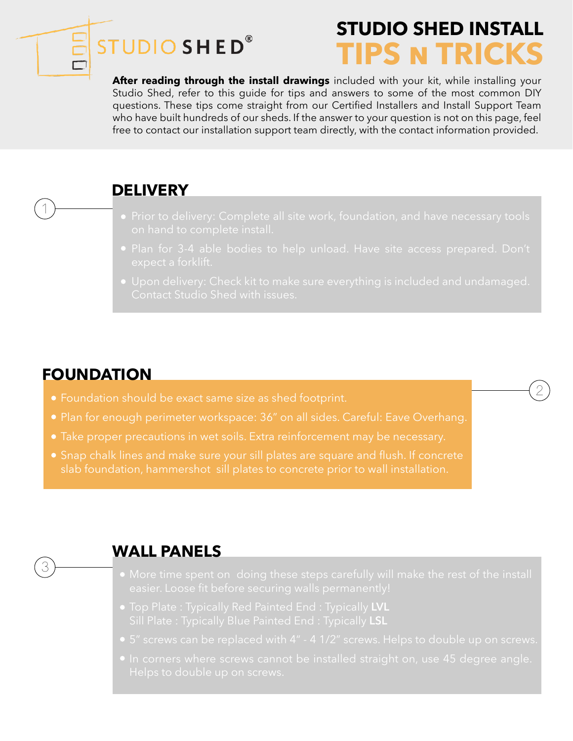# **STUDIO SHED®**

# **STUDIO SHED INSTA TIPS N TRICKS**

2

After reading through the install drawings included with your kit, while installing your Studio Shed, refer to this guide for tips and answers to some of the most common DIY questions. These tips come straight from our Certified Installers and Install Support Team who have built hundreds of our sheds. If the answer to your question is not on this page, feel free to contact our installation support team directly, with the contact information provided.

# **DELIVERY**

- 
- 
- 

# **FOUNDATION**

1

3

- Foundation should be exact same size as shed footprint.
- Plan for enough perimeter workspace: 36" on all sides. Careful: Eave Overhang.
- 
- Snap chalk lines and make sure your sill plates are square and flush. If concrete slab foundation, hammershot sill plates to concrete prior to wall installation.

# **WALL PANELS**

- 
- 
- 
-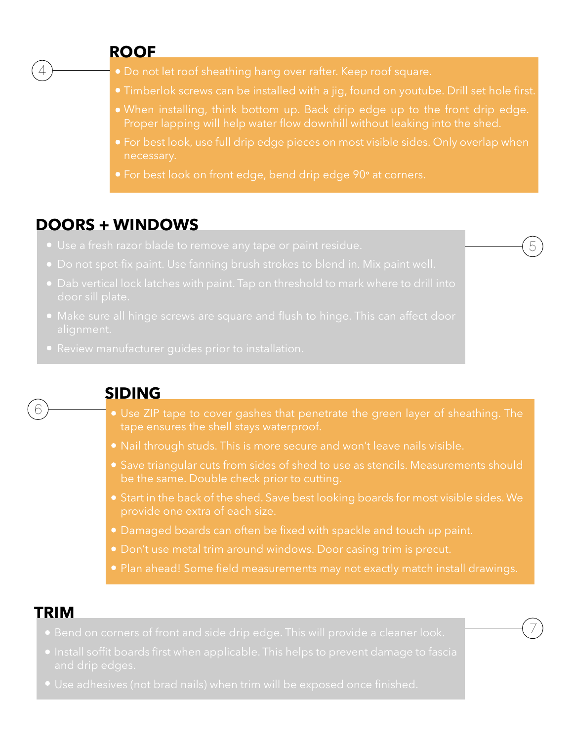### **ROOF**

4

- 
- 
- 
- necessary.

5

7

For best look on front edge, bend drip edge 90**°** at corners.

# **DOORS + WINDOWS**

- 
- 
- 
- 
- 



## **SIDING**

- 
- 
- Save triangular cuts from sides of shed to use as stencils. Measurements should
- provide one extra of each size.
- Damaged boards can often be fixed with spackle and touch up paint.
- 
- 

# **TRIM**

- 
- 
-